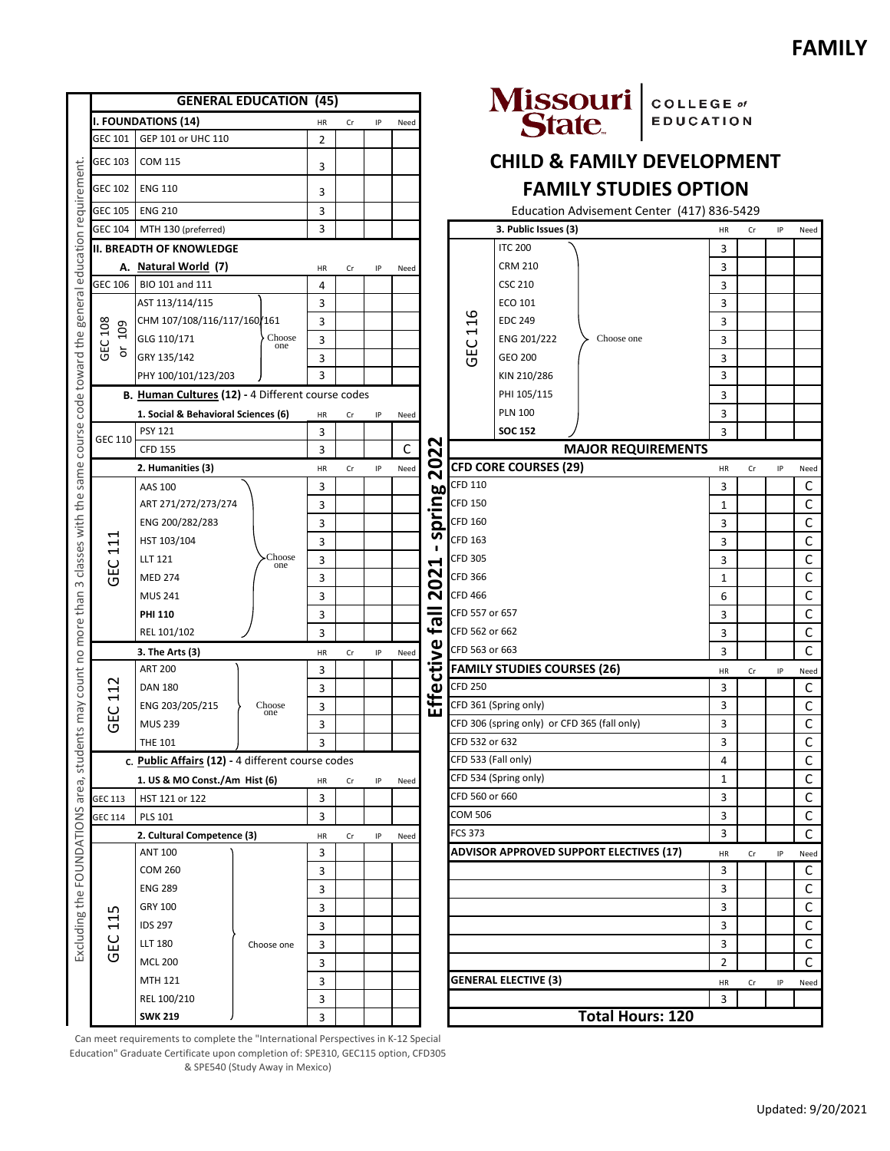|                                                                                                                                         | <b>GENERAL EDUCATION (45)</b>                           |                                                   |               |                |    |      |      |                                        |                      |                                              | Missouri COLLEGE of                            |                  |                |             |             |              |
|-----------------------------------------------------------------------------------------------------------------------------------------|---------------------------------------------------------|---------------------------------------------------|---------------|----------------|----|------|------|----------------------------------------|----------------------|----------------------------------------------|------------------------------------------------|------------------|----------------|-------------|-------------|--------------|
| requirement<br>education<br>general<br>code toward the<br>course<br>same<br>classes with the<br>$\infty$<br>more than<br>$\overline{C}$ | <b>I. FOUNDATIONS (14)</b>                              |                                                   |               | HR             | Cr | IP   | Need |                                        |                      |                                              |                                                | <b>EDUCATION</b> |                |             |             |              |
|                                                                                                                                         | GEC 101                                                 | GEP 101 or UHC 110                                |               | $\overline{2}$ |    |      |      |                                        |                      |                                              |                                                |                  |                |             |             |              |
|                                                                                                                                         | GEC 103                                                 | COM 115                                           |               | 3              |    |      |      |                                        |                      |                                              | <b>CHILD &amp; FAMILY DEVELOPMENT</b>          |                  |                |             |             |              |
|                                                                                                                                         | GEC 102                                                 | <b>ENG 110</b>                                    |               | 3              |    |      |      |                                        |                      |                                              | <b>FAMILY STUDIES OPTION</b>                   |                  |                |             |             |              |
|                                                                                                                                         | <b>ENG 210</b><br><b>GEC 105</b>                        |                                                   |               | 3              |    |      |      |                                        |                      |                                              | Education Advisement Center (417) 836-5429     |                  |                |             |             |              |
|                                                                                                                                         | <b>GEC 104</b>                                          | MTH 130 (preferred)                               |               | 3              |    |      |      |                                        | 3. Public Issues (3) |                                              |                                                | HR               | Cr             | IP          | Need        |              |
|                                                                                                                                         | <b>II. BREADTH OF KNOWLEDGE</b>                         |                                                   |               |                |    |      |      |                                        | <b>ITC 200</b>       |                                              |                                                | 3                |                |             |             |              |
|                                                                                                                                         | A. Natural World (7)<br>HR<br>Cr                        |                                                   |               |                | IP | Need |      |                                        | <b>CRM 210</b>       |                                              |                                                | 3                |                |             |             |              |
|                                                                                                                                         | GEC 106                                                 | BIO 101 and 111                                   |               | 4              |    |      |      |                                        |                      | <b>CSC 210</b>                               |                                                |                  | 3              |             |             |              |
|                                                                                                                                         | GEC 108<br>109<br>ŏ                                     | AST 113/114/115                                   |               | 3              |    |      |      |                                        |                      | ECO 101                                      |                                                |                  | 3              |             |             |              |
|                                                                                                                                         |                                                         | CHM 107/108/116/117/160/161                       |               | 3              |    |      |      |                                        | 116                  | <b>EDC 249</b>                               | Choose one                                     |                  | 3              |             |             |              |
|                                                                                                                                         |                                                         | GLG 110/171                                       | Choose<br>one | 3              |    |      |      |                                        |                      | ENG 201/222                                  |                                                |                  | 3              |             |             |              |
|                                                                                                                                         |                                                         | GRY 135/142                                       |               | 3              |    |      |      |                                        | ن<br>95              | GEO 200                                      |                                                |                  | 3              |             |             |              |
|                                                                                                                                         |                                                         | PHY 100/101/123/203                               |               | 3              |    |      |      |                                        |                      | KIN 210/286                                  |                                                |                  | 3              |             |             |              |
|                                                                                                                                         |                                                         | B. Human Cultures (12) - 4 Different course codes |               |                |    |      |      |                                        |                      | PHI 105/115                                  |                                                |                  | 3              |             |             |              |
|                                                                                                                                         |                                                         | 1. Social & Behavioral Sciences (6)               |               | HR             | Cr | IP   | Need |                                        |                      | <b>PLN 100</b>                               |                                                |                  | 3              |             |             |              |
|                                                                                                                                         |                                                         | <b>PSY 121</b>                                    |               | 3              |    |      |      |                                        |                      | <b>SOC 152</b>                               |                                                |                  | 3              |             |             |              |
|                                                                                                                                         | GEC 110                                                 | <b>CFD 155</b>                                    |               | 3              |    |      | C    | N                                      |                      | <b>MAJOR REQUIREMENTS</b>                    |                                                |                  |                |             |             |              |
|                                                                                                                                         |                                                         | 2. Humanities (3)                                 |               | HR             | Cr | IP   | Need | 20<br>$\sim$                           |                      | <b>CFD CORE COURSES (29)</b>                 |                                                |                  | HR             | Cr          | IP          | Need         |
|                                                                                                                                         | ↤<br>J<br>$\blacktriangleleft$<br>ں<br>Ğ                | AAS 100                                           |               | 3              |    |      |      | <b>bo</b>                              | CFD 110              |                                              |                                                |                  | 3              |             |             | C            |
|                                                                                                                                         |                                                         | ART 271/272/273/274                               |               | 3              |    |      |      | pring                                  | <b>CFD 150</b>       |                                              |                                                |                  | 1              |             |             | C            |
|                                                                                                                                         |                                                         | ENG 200/282/283                                   | Choose<br>one | 3              |    |      |      |                                        | CFD 160              |                                              |                                                | 3                |                |             | С           |              |
|                                                                                                                                         |                                                         | HST 103/104                                       |               | 3              |    |      |      | n<br>Н<br>N<br>0<br>$\bar{\mathbf{N}}$ | CFD 163              |                                              |                                                |                  | 3              |             |             | C            |
|                                                                                                                                         |                                                         | <b>LLT 121</b>                                    |               | 3              |    |      |      |                                        | <b>CFD 305</b>       |                                              |                                                |                  | 3              |             |             | $\mathsf C$  |
|                                                                                                                                         |                                                         | <b>MED 274</b>                                    |               | 3              |    |      |      |                                        | CFD 366              |                                              |                                                |                  | 1              |             |             | С            |
|                                                                                                                                         |                                                         | <b>MUS 241</b>                                    |               | 3              |    |      |      |                                        | CFD 466              |                                              |                                                |                  | 6              |             |             | C            |
|                                                                                                                                         |                                                         | <b>PHI 110</b>                                    |               | 3              |    |      |      | =                                      | CFD 557 or 657       |                                              |                                                |                  | 3              |             |             | $\mathsf{C}$ |
|                                                                                                                                         |                                                         | REL 101/102                                       |               | 3              |    |      |      | $\overline{\mathbf{e}}$                | CFD 562 or 662       |                                              |                                                |                  | 3              |             |             | C            |
|                                                                                                                                         | 3. The Arts (3)<br>HR<br>IP<br>Need<br>Cr               |                                                   |               |                |    |      |      | CFD 563 or 663                         |                      |                                              |                                                | 3                |                |             | $\mathsf C$ |              |
|                                                                                                                                         | $\sim$<br>$\blacktriangleleft$<br>⊣<br>ဥ<br>O           | <b>ART 200</b>                                    |               | 3              |    |      |      | ffective                               |                      | <b>FAMILY STUDIES COURSES (26)</b>           |                                                |                  | HR             | Cr          | IP          | Need         |
| count<br>yew<br>$^{24}$                                                                                                                 |                                                         | <b>DAN 180</b>                                    | Choose<br>one | 3              |    |      |      |                                        | <b>CFD 250</b>       |                                              |                                                |                  | 3              |             |             | C            |
|                                                                                                                                         |                                                         | ENG 203/205/215                                   |               | 3              |    |      |      |                                        |                      | CFD 361 (Spring only)                        |                                                |                  | 3              |             |             | С            |
|                                                                                                                                         |                                                         | <b>MUS 239</b>                                    |               | 3              |    |      |      |                                        |                      | CFD 306 (spring only) or CFD 365 (fall only) |                                                |                  | 3              |             |             | $\mathsf C$  |
|                                                                                                                                         |                                                         | <b>THE 101</b>                                    |               | 3              |    |      |      |                                        | CFD 532 or 632       |                                              |                                                |                  | 3              |             |             | C            |
| student                                                                                                                                 | c. Public Affairs (12) - 4 different course codes       |                                                   |               |                |    |      |      |                                        | CFD 533 (Fall only)  |                                              |                                                |                  | 4              |             |             | $\mathsf C$  |
|                                                                                                                                         | 1. US & MO Const./Am Hist (6)<br>HR<br>IP<br>Cr<br>Need |                                                   |               |                |    |      |      | CFD 534 (Spring only)                  |                      |                                              | 1                                              |                  |                | $\mathsf C$ |             |              |
| area,                                                                                                                                   | GEC 113                                                 | HST 121 or 122                                    |               |                |    |      |      |                                        | CFD 560 or 660       |                                              |                                                |                  | 3              |             |             | $\mathsf C$  |
|                                                                                                                                         | GEC 114                                                 | 3<br><b>PLS 101</b>                               |               |                |    |      |      |                                        | COM 506              |                                              |                                                |                  | 3              |             |             | $\mathsf C$  |
|                                                                                                                                         | 2. Cultural Competence (3)<br>IP<br>HR<br>Cr<br>Need    |                                                   |               |                |    |      |      | <b>FCS 373</b>                         |                      |                                              |                                                | 3                |                |             | $\mathsf C$ |              |
|                                                                                                                                         | w<br>4<br>4<br>ပူ<br>ō                                  | <b>ANT 100</b>                                    | Choose one    | 3              |    |      |      |                                        |                      |                                              | <b>ADVISOR APPROVED SUPPORT ELECTIVES (17)</b> |                  | HR             | Cr          | IP          | Need         |
| Excluding the FOUNDATIONS                                                                                                               |                                                         | <b>COM 260</b>                                    |               | 3              |    |      |      |                                        |                      |                                              |                                                |                  | 3              |             |             | $\mathsf C$  |
|                                                                                                                                         |                                                         | <b>ENG 289</b>                                    |               | 3              |    |      |      |                                        |                      |                                              |                                                |                  | 3              |             |             | C            |
|                                                                                                                                         |                                                         | GRY 100                                           |               | 3              |    |      |      |                                        |                      |                                              |                                                |                  | 3              |             |             | $\mathsf C$  |
|                                                                                                                                         |                                                         | <b>IDS 297</b>                                    |               | 3              |    |      |      |                                        |                      |                                              |                                                |                  | 3              |             |             | $\mathsf C$  |
|                                                                                                                                         |                                                         | <b>LLT 180</b>                                    |               | 3              |    |      |      |                                        |                      |                                              |                                                |                  | 3              |             |             | $\mathsf{C}$ |
|                                                                                                                                         |                                                         | <b>MCL 200</b>                                    |               | 3              |    |      |      |                                        |                      |                                              |                                                |                  | $\overline{2}$ |             |             | C            |
|                                                                                                                                         |                                                         | MTH 121                                           |               | 3              |    |      |      |                                        |                      | <b>GENERAL ELECTIVE (3)</b>                  |                                                |                  | HR             | Cr          | ΙP          | Need         |
|                                                                                                                                         |                                                         | REL 100/210                                       |               | 3              |    |      |      |                                        |                      |                                              |                                                |                  | 3              |             |             |              |
|                                                                                                                                         |                                                         | <b>SWK 219</b>                                    |               | 3              |    |      |      |                                        |                      |                                              | <b>Total Hours: 120</b>                        |                  |                |             |             |              |

Can meet requirements to complete the "International Perspectives in K-12 Special Education" Graduate Certificate upon completion of: SPE310, GEC115 option, CFD305 & SPE540 (Study Away in Mexico)